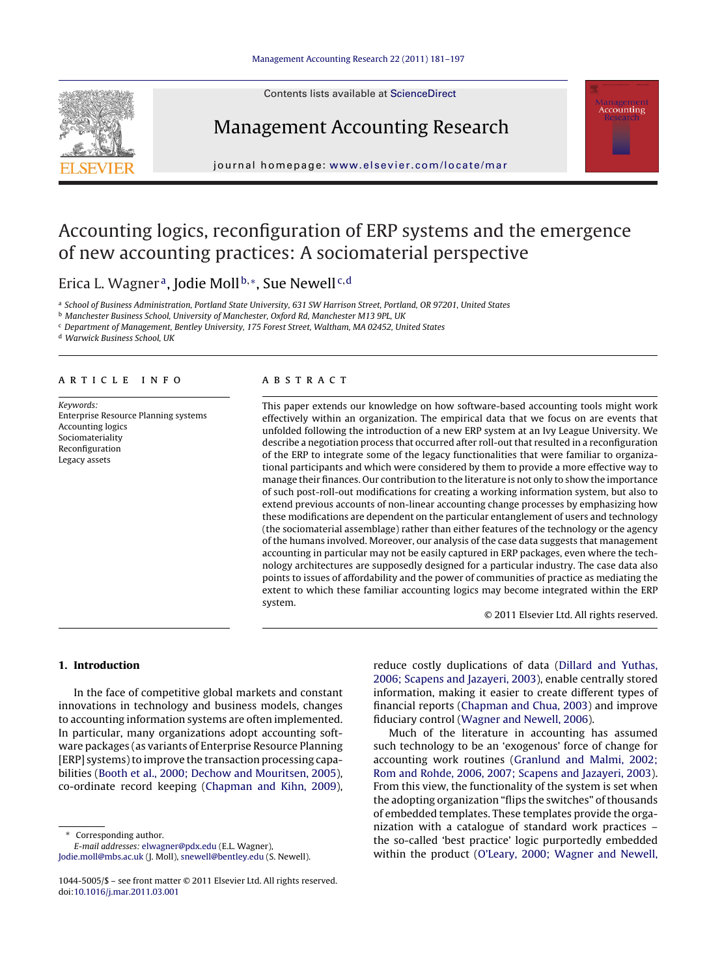Contents lists available at [ScienceDirect](http://www.sciencedirect.com/science/journal/10445005)





Management Accounting Research

journal homepage: [www.elsevier.com/locate/mar](http://www.elsevier.com/locate/mar)

## Accounting logics, reconfiguration of ERP systems and the emergence of new accounting practices: A sociomaterial perspective

Erica L. Wagner<sup>a</sup>, Jodie Moll<sup>b,\*</sup>, Sue Newell<sup>c,d</sup>

<sup>a</sup> School of Business Administration, Portland State University, 631 SW Harrison Street, Portland, OR 97201, United States

**b** Manchester Business School, University of Manchester, Oxford Rd, Manchester M13 9PL, UK

 $\,^{\rm c}$  Department of Management, Bentley University, 175 Forest Street, Waltham, MA 02452, United States

<sup>d</sup> Warwick Business School, UK

#### a r t i c l e i n f o

Keywords: Enterprise Resource Planning systems Accounting logics Sociomateriality Reconfiguration Legacy assets

#### A B S T R A C T

This paper extends our knowledge on how software-based accounting tools might work effectively within an organization. The empirical data that we focus on are events that unfolded following the introduction of a new ERP system at an Ivy League University. We describe a negotiation process that occurred after roll-out that resulted in a reconfiguration of the ERP to integrate some of the legacy functionalities that were familiar to organizational participants and which were considered by them to provide a more effective way to manage their finances. Our contribution to the literature is not only to show the importance of such post-roll-out modifications for creating a working information system, but also to extend previous accounts of non-linear accounting change processes by emphasizing how these modifications are dependent on the particular entanglement of users and technology (the sociomaterial assemblage) rather than either features of the technology or the agency of the humans involved. Moreover, our analysis of the case data suggests that management accounting in particular may not be easily captured in ERP packages, even where the technology architectures are supposedly designed for a particular industry. The case data also points to issues of affordability and the power of communities of practice as mediating the extent to which these familiar accounting logics may become integrated within the ERP system.

© 2011 Elsevier Ltd. All rights reserved.

### **1. Introduction**

In the face of competitive global markets and constant innovations in technology and business models, changes to accounting information systems are often implemented. In particular, many organizations adopt accounting software packages (as variants of Enterprise Resource Planning [ERP] systems) to improve the transaction processing capabilities [\(Booth](#page--1-0) et [al.,](#page--1-0) [2000;](#page--1-0) [Dechow](#page--1-0) [and](#page--1-0) [Mouritsen,](#page--1-0) [2005\),](#page--1-0) co-ordinate record keeping ([Chapman](#page--1-0) [and](#page--1-0) [Kihn,](#page--1-0) [2009\),](#page--1-0)

Corresponding author.

E-mail addresses: [elwagner@pdx.edu](mailto:elwagner@pdx.edu) (E.L. Wagner),

[Jodie.moll@mbs.ac.uk](mailto:Jodie.moll@mbs.ac.uk) (J. Moll), [snewell@bentley.edu](mailto:snewell@bentley.edu) (S. Newell).

reduce costly duplications of data [\(Dillard](#page--1-0) [and](#page--1-0) [Yuthas,](#page--1-0) [2006;](#page--1-0) [Scapens](#page--1-0) [and](#page--1-0) [Jazayeri,](#page--1-0) [2003\),](#page--1-0) enable centrally stored information, making it easier to create different types of financial reports [\(Chapman](#page--1-0) [and](#page--1-0) [Chua,](#page--1-0) [2003\)](#page--1-0) and improve fiduciary control [\(Wagner](#page--1-0) [and](#page--1-0) [Newell,](#page--1-0) [2006\).](#page--1-0)

Much of the literature in accounting has assumed such technology to be an 'exogenous' force of change for accounting work routines ([Granlund](#page--1-0) [and](#page--1-0) [Malmi,](#page--1-0) [2002;](#page--1-0) [Rom](#page--1-0) [and](#page--1-0) [Rohde,](#page--1-0) [2006,](#page--1-0) [2007;](#page--1-0) [Scapens](#page--1-0) [and](#page--1-0) [Jazayeri,](#page--1-0) [2003\).](#page--1-0) From this view, the functionality of the system is set when the adopting organization "flips the switches" of thousands of embedded templates. These templates provide the organization with a catalogue of standard work practices – the so-called 'best practice' logic purportedly embedded within the product [\(O'Leary,](#page--1-0) [2000;](#page--1-0) [Wagner](#page--1-0) [and](#page--1-0) [Newell,](#page--1-0)

<sup>1044-5005/\$</sup> – see front matter © 2011 Elsevier Ltd. All rights reserved. doi:[10.1016/j.mar.2011.03.001](dx.doi.org/10.1016/j.mar.2011.03.001)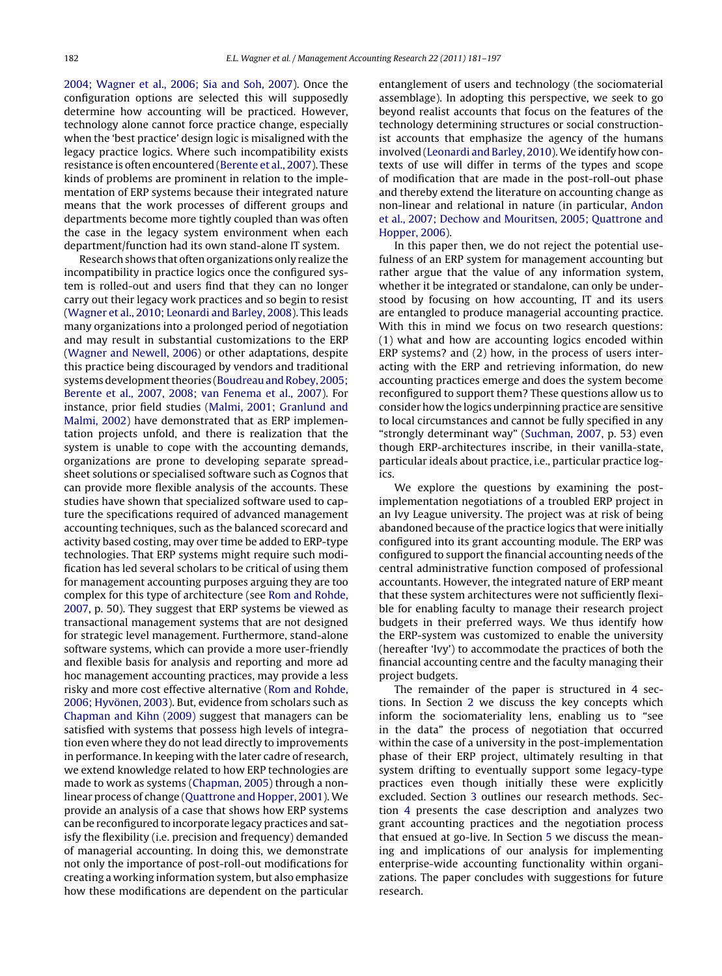[2004;](#page--1-0) [Wagner](#page--1-0) et [al.,](#page--1-0) [2006;](#page--1-0) [Sia](#page--1-0) [and](#page--1-0) [Soh,](#page--1-0) [2007\).](#page--1-0) Once the configuration options are selected this will supposedly determine how accounting will be practiced. However, technology alone cannot force practice change, especially when the 'best practice' design logic is misaligned with the legacy practice logics. Where such incompatibility exists resistance is often encountered ([Berente](#page--1-0) et [al.,](#page--1-0) [2007\).](#page--1-0) These kinds of problems are prominent in relation to the implementation of ERP systems because their integrated nature means that the work processes of different groups and departments become more tightly coupled than was often the case in the legacy system environment when each department/function had its own stand-alone IT system.

Research shows that often organizations only realize the incompatibility in practice logics once the configured system is rolled-out and users find that they can no longer carry out their legacy work practices and so begin to resist [\(Wagner](#page--1-0) et [al.,](#page--1-0) [2010;](#page--1-0) [Leonardi](#page--1-0) [and](#page--1-0) [Barley,](#page--1-0) [2008\).](#page--1-0) This leads many organizations into a prolonged period of negotiation and may result in substantial customizations to the ERP [\(Wagner](#page--1-0) [and](#page--1-0) [Newell,](#page--1-0) [2006\)](#page--1-0) or other adaptations, despite this practice being discouraged by vendors and traditional systems development theories (Boudreau and Robey, [2005;](#page--1-0) [Berente](#page--1-0) [et](#page--1-0) [al.,](#page--1-0) [2007,](#page--1-0) [2008;](#page--1-0) [van](#page--1-0) [Fenema](#page--1-0) et [al.,](#page--1-0) [2007\).](#page--1-0) For instance, prior field studies [\(Malmi,](#page--1-0) [2001;](#page--1-0) [Granlund](#page--1-0) [and](#page--1-0) [Malmi,](#page--1-0) [2002\)](#page--1-0) have demonstrated that as ERP implementation projects unfold, and there is realization that the system is unable to cope with the accounting demands, organizations are prone to developing separate spreadsheet solutions or specialised software such as Cognos that can provide more flexible analysis of the accounts. These studies have shown that specialized software used to capture the specifications required of advanced management accounting techniques, such as the balanced scorecard and activity based costing, may over time be added to ERP-type technologies. That ERP systems might require such modification has led several scholars to be critical of using them for management accounting purposes arguing they are too complex for this type of architecture (see [Rom](#page--1-0) [and](#page--1-0) [Rohde,](#page--1-0) [2007,](#page--1-0) p. 50). They suggest that ERP systems be viewed as transactional management systems that are not designed for strategic level management. Furthermore, stand-alone software systems, which can provide a more user-friendly and flexible basis for analysis and reporting and more ad hoc management accounting practices, may provide a less risky and more cost effective alternative [\(Rom](#page--1-0) [and](#page--1-0) [Rohde,](#page--1-0) [2006;](#page--1-0) [Hyvönen,](#page--1-0) [2003\).](#page--1-0) But, evidence from scholars such as [Chapman](#page--1-0) [and](#page--1-0) [Kihn](#page--1-0) [\(2009\)](#page--1-0) suggest that managers can be satisfied with systems that possess high levels of integration even where they do not lead directly to improvements in performance. In keeping with the later cadre of research, we extend knowledge related to how ERP technologies are made to work as systems [\(Chapman,](#page--1-0) [2005\)](#page--1-0) through a nonlinear process of change ([Quattrone](#page--1-0) [and](#page--1-0) [Hopper,](#page--1-0) [2001\).](#page--1-0) We provide an analysis of a case that shows how ERP systems can be reconfigured to incorporate legacy practices and satisfy the flexibility (i.e. precision and frequency) demanded of managerial accounting. In doing this, we demonstrate not only the importance of post-roll-out modifications for creating a working information system, but also emphasize how these modifications are dependent on the particular entanglement of users and technology (the sociomaterial assemblage). In adopting this perspective, we seek to go beyond realist accounts that focus on the features of the technology determining structures or social constructionist accounts that emphasize the agency of the humans involved ([Leonardi](#page--1-0) [and](#page--1-0) [Barley,](#page--1-0) [2010\).](#page--1-0)We identify how contexts of use will differ in terms of the types and scope of modification that are made in the post-roll-out phase and thereby extend the literature on accounting change as non-linear and relational in nature (in particular, [Andon](#page--1-0) et [al.,](#page--1-0) [2007;](#page--1-0) [Dechow](#page--1-0) [and](#page--1-0) [Mouritsen,](#page--1-0) [2005;](#page--1-0) [Quattrone](#page--1-0) [and](#page--1-0) [Hopper,](#page--1-0) [2006\).](#page--1-0)

In this paper then, we do not reject the potential usefulness of an ERP system for management accounting but rather argue that the value of any information system, whether it be integrated or standalone, can only be understood by focusing on how accounting, IT and its users are entangled to produce managerial accounting practice. With this in mind we focus on two research questions: (1) what and how are accounting logics encoded within ERP systems? and (2) how, in the process of users interacting with the ERP and retrieving information, do new accounting practices emerge and does the system become reconfigured to support them? These questions allow us to consider how the logics underpinning practice are sensitive to local circumstances and cannot be fully specified in any "strongly determinant way" [\(Suchman,](#page--1-0) [2007,](#page--1-0) p. 53) even though ERP-architectures inscribe, in their vanilla-state, particular ideals about practice, i.e., particular practice logics.

We explore the questions by examining the postimplementation negotiations of a troubled ERP project in an Ivy League university. The project was at risk of being abandoned because of the practice logics that were initially configured into its grant accounting module. The ERP was configured to support the financial accounting needs of the central administrative function composed of professional accountants. However, the integrated nature of ERP meant that these system architectures were not sufficiently flexible for enabling faculty to manage their research project budgets in their preferred ways. We thus identify how the ERP-system was customized to enable the university (hereafter 'Ivy') to accommodate the practices of both the financial accounting centre and the faculty managing their project budgets.

The remainder of the paper is structured in 4 sections. In Section [2](#page--1-0) we discuss the key concepts which inform the sociomateriality lens, enabling us to "see in the data" the process of negotiation that occurred within the case of a university in the post-implementation phase of their ERP project, ultimately resulting in that system drifting to eventually support some legacy-type practices even though initially these were explicitly excluded. Section [3](#page--1-0) outlines our research methods. Section [4](#page--1-0) presents the case description and analyzes two grant accounting practices and the negotiation process that ensued at go-live. In Section [5](#page--1-0) we discuss the meaning and implications of our analysis for implementing enterprise-wide accounting functionality within organizations. The paper concludes with suggestions for future research.